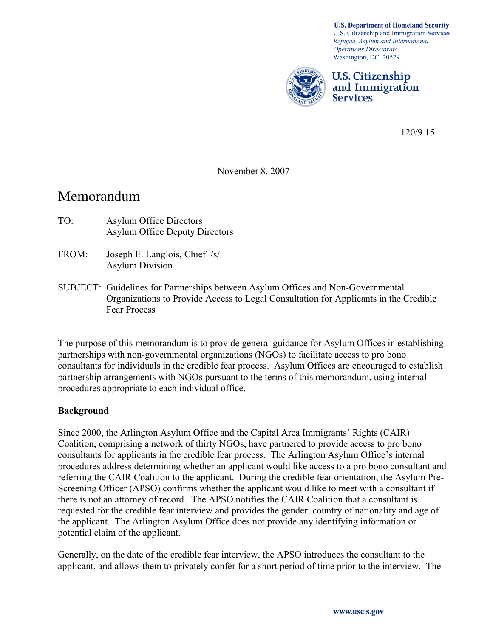**U.S. Department of Homeland Security** U.S. Citizenship and Immigration Services *Refugee, Asylum and International Operations Directorate*  Washington, DC 20529



U.S. Citizenship and Immigration **Services** 

120/9.15

November 8, 2007

## Memorandum

- TO: Asylum Office Directors Asylum Office Deputy Directors
- FROM: Joseph E. Langlois, Chief /s/ Asylum Division
- SUBJECT: Guidelines for Partnerships between Asylum Offices and Non-Governmental Organizations to Provide Access to Legal Consultation for Applicants in the Credible Fear Process

The purpose of this memorandum is to provide general guidance for Asylum Offices in establishing partnerships with non-governmental organizations (NGOs) to facilitate access to pro bono consultants for individuals in the credible fear process. Asylum Offices are encouraged to establish partnership arrangements with NGOs pursuant to the terms of this memorandum, using internal procedures appropriate to each individual office.

## **Background**

Since 2000, the Arlington Asylum Office and the Capital Area Immigrants' Rights (CAIR) Coalition, comprising a network of thirty NGOs, have partnered to provide access to pro bono consultants for applicants in the credible fear process. The Arlington Asylum Office's internal procedures address determining whether an applicant would like access to a pro bono consultant and referring the CAIR Coalition to the applicant. During the credible fear orientation, the Asylum Pre-Screening Officer (APSO) confirms whether the applicant would like to meet with a consultant if there is not an attorney of record. The APSO notifies the CAIR Coalition that a consultant is requested for the credible fear interview and provides the gender, country of nationality and age of the applicant. The Arlington Asylum Office does not provide any identifying information or potential claim of the applicant.

Generally, on the date of the credible fear interview, the APSO introduces the consultant to the applicant, and allows them to privately confer for a short period of time prior to the interview. The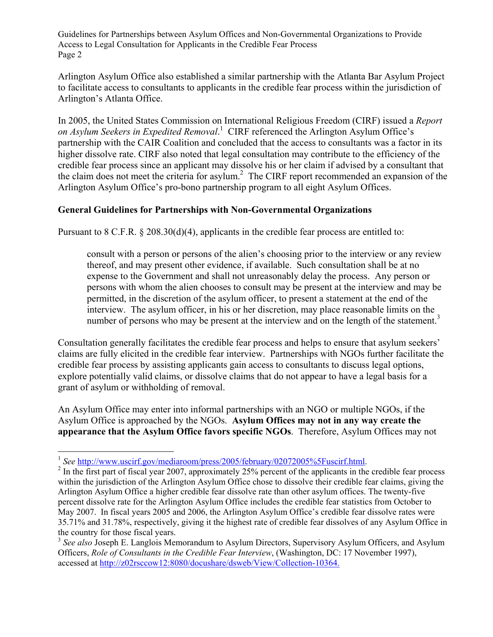Guidelines for Partnerships between Asylum Offices and Non-Governmental Organizations to Provide Access to Legal Consultation for Applicants in the Credible Fear Process Page 2

Arlington Asylum Office also established a similar partnership with the Atlanta Bar Asylum Project to facilitate access to consultants to applicants in the credible fear process within the jurisdiction of Arlington's Atlanta Office.

In 2005, the United States Commission on International Religious Freedom (CIRF) issued a *Report on Asylum Seekers in Expedited Removal*. 1 CIRF referenced the Arlington Asylum Office's partnership with the CAIR Coalition and concluded that the access to consultants was a factor in its higher dissolve rate. CIRF also noted that legal consultation may contribute to the efficiency of the credible fear process since an applicant may dissolve his or her claim if advised by a consultant that the claim does not meet the criteria for asylum.<sup>2</sup> The CIRF report recommended an expansion of the Arlington Asylum Office's pro-bono partnership program to all eight Asylum Offices.

## **General Guidelines for Partnerships with Non-Governmental Organizations**

Pursuant to 8 C.F.R. § 208.30(d)(4), applicants in the credible fear process are entitled to:

consult with a person or persons of the alien's choosing prior to the interview or any review thereof, and may present other evidence, if available. Such consultation shall be at no expense to the Government and shall not unreasonably delay the process. Any person or persons with whom the alien chooses to consult may be present at the interview and may be permitted, in the discretion of the asylum officer, to present a statement at the end of the interview. The asylum officer, in his or her discretion, may place reasonable limits on the number of persons who may be present at the interview and on the length of the statement.<sup>3</sup>

Consultation generally facilitates the credible fear process and helps to ensure that asylum seekers' claims are fully elicited in the credible fear interview. Partnerships with NGOs further facilitate the credible fear process by assisting applicants gain access to consultants to discuss legal options, explore potentially valid claims, or dissolve claims that do not appear to have a legal basis for a grant of asylum or withholding of removal.

An Asylum Office may enter into informal partnerships with an NGO or multiple NGOs, if the Asylum Office is approached by the NGOs. **Asylum Offices may not in any way create the appearance that the Asylum Office favors specific NGOs**. Therefore, Asylum Offices may not

 $\overline{a}$ 

<sup>&</sup>lt;sup>1</sup> See http://www.uscirf.gov/mediaroom/press/2005/february/02072005%5Fuscirf.html.

<sup>&</sup>lt;sup>2</sup> In the first part of fiscal year 2007, approximately 25% percent of the applicants in the credible fear process within the jurisdiction of the Arlington Asylum Office chose to dissolve their credible fear claims, giving the Arlington Asylum Office a higher credible fear dissolve rate than other asylum offices. The twenty-five percent dissolve rate for the Arlington Asylum Office includes the credible fear statistics from October to May 2007. In fiscal years 2005 and 2006, the Arlington Asylum Office's credible fear dissolve rates were 35.71% and 31.78%, respectively, giving it the highest rate of credible fear dissolves of any Asylum Office in the country for those fiscal years.

<sup>&</sup>lt;sup>3</sup> See also Joseph E. Langlois Memorandum to Asylum Directors, Supervisory Asylum Officers, and Asylum Officers, *Role of Consultants in the Credible Fear Interview*, (Washington, DC: 17 November 1997), accessed at http://z02rsccow12:8080/docushare/dsweb/View/Collection-10364.